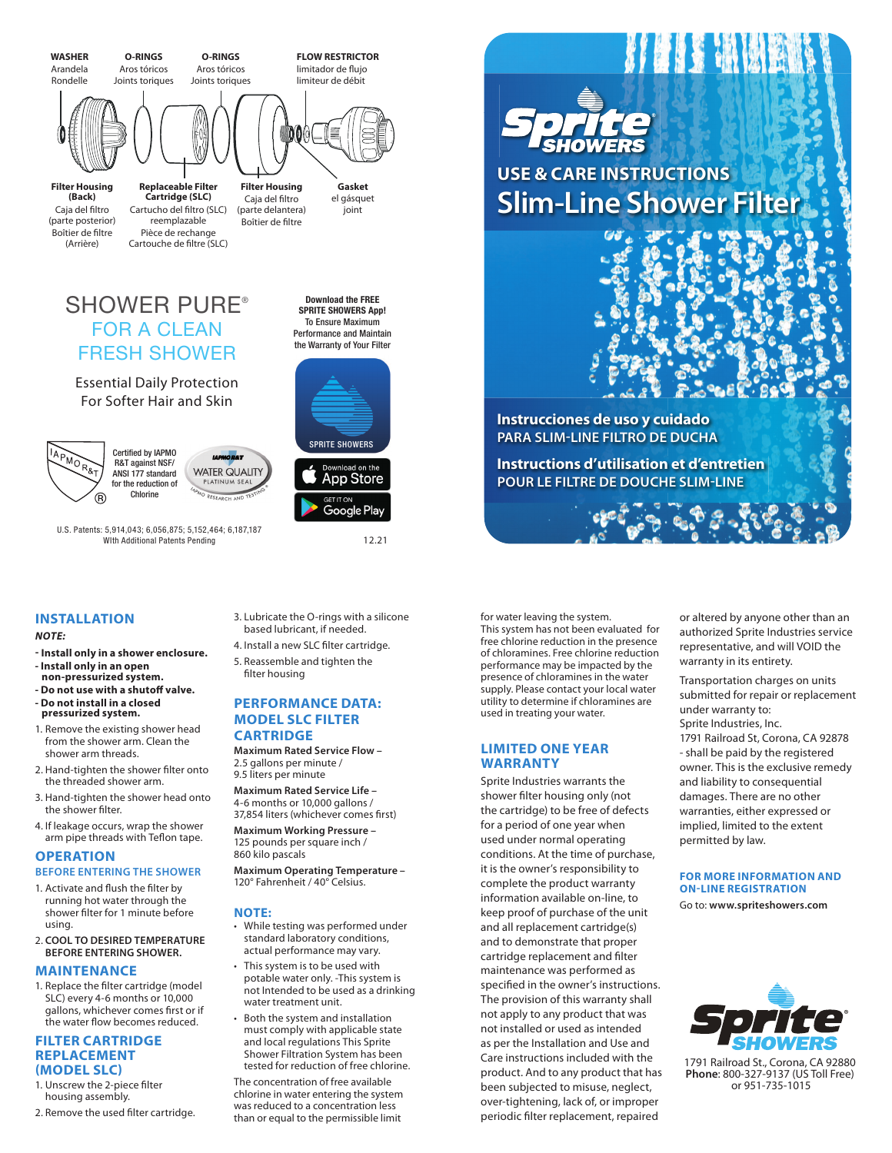

## **INSTALLATION**

#### *NOTE:*

- **Install only in a shower enclosure. - Install only in an open non-pressurized system.**
- **- Do not use with a shutoff valve. - Do not install in a closed**
- **pressurized system.**
- 1. Remove the existing shower head from the shower arm. Clean the shower arm threads.
- 2. Hand-tighten the shower filter onto the threaded shower arm.
- 3. Hand-tighten the shower head onto the shower filter.
- 4. If leakage occurs, wrap the shower arm pipe threads with Teflon tape.

# **OPERATION**

## **BEFORE ENTERING THE SHOWER**

- 1. Activate and flush the filter by running hot water through the shower filter for 1 minute before using.
- 2. **COOL TO DESIRED TEMPERATURE BEFORE ENTERING SHOWER.**

## **MAINTENANCE**

1. Replace the filter cartridge (model SLC) every 4-6 months or 10,000 gallons, whichever comes first or if the water flow becomes reduced.

### **FILTER CARTRIDGE REPLACEMENT (MODEL SLC)**

- 1. Unscrew the 2-piece filter housing assembly.
- 2. Remove the used filter cartridge.
- 3. Lubricate the O-rings with a silicone based lubricant, if needed.
- 4. Install a new SLC filter cartridge. 5. Reassemble and tighten the filter housing

## **PERFORMANCE DATA: MODEL SLC FILTER CARTRIDGE**

**Maximum Rated Service Flow –** 2.5 gallons per minute / 9.5 liters per minute

- **Maximum Rated Service Life –** 4-6 months or 10,000 gallons / 37,854 liters (whichever comes first)
- **Maximum Working Pressure –** 125 pounds per square inch / 860 kilo pascals

**Maximum Operating Temperature –** 120° Fahrenheit / 40° Celsius.

## **NOTE:**

- While testing was performed under standard laboratory conditions, actual performance may vary.
- This system is to be used with potable water only. -This system is not Intended to be used as a drinking water treatment unit.
- Both the system and installation must comply with applicable state and local regulations This Sprite Shower Filtration System has been tested for reduction of free chlorine.

The concentration of free available chlorine in water entering the system was reduced to a concentration less than or equal to the permissible limit

for water leaving the system. This system has not been evaluated for free chlorine reduction in the presence of chloramines. Free chlorine reduction performance may be impacted by the presence of chloramines in the water supply. Please contact your local water utility to determine if chloramines are used in treating your water.

## **LIMITED ONE YEAR WARRANTY**

Sprite Industries warrants the shower filter housing only (not the cartridge) to be free of defects for a period of one year when used under normal operating conditions. At the time of purchase, it is the owner's responsibility to complete the product warranty information available on-line, to keep proof of purchase of the unit and all replacement cartridge(s) and to demonstrate that proper cartridge replacement and filter maintenance was performed as specified in the owner's instructions. The provision of this warranty shall not apply to any product that was not installed or used as intended as per the Installation and Use and Care instructions included with the product. And to any product that has been subjected to misuse, neglect, over-tightening, lack of, or improper periodic filter replacement, repaired

or altered by anyone other than an authorized Sprite Industries service representative, and will VOID the warranty in its entirety.

Transportation charges on units submitted for repair or replacement under warranty to: Sprite Industries, Inc.

1791 Railroad St, Corona, CA 92878 - shall be paid by the registered owner. This is the exclusive remedy and liability to consequential damages. There are no other warranties, either expressed or implied, limited to the extent permitted by law.

## **FOR MORE INFORMATION AND ON-LINE REGISTRATION**

Go to: **www.spriteshowers.com**



1791 Railroad St., Corona, CA 92880 **Phone**: 800-327-9137 (US Toll Free) or 951-735-1015